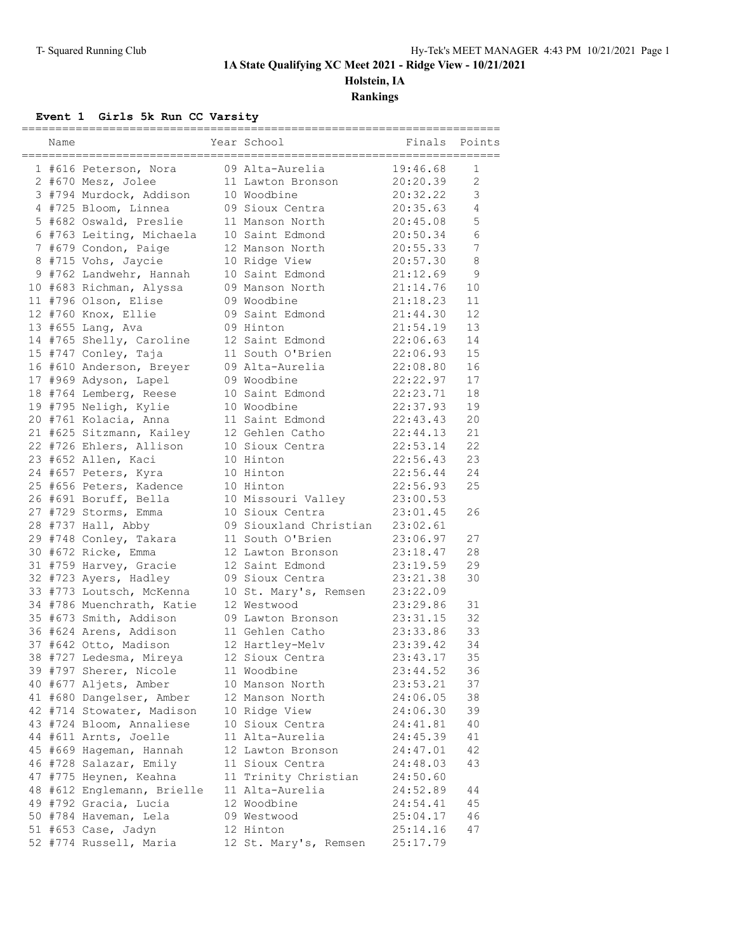### **1A State Qualifying XC Meet 2021 - Ridge View - 10/21/2021**

**Holstein, IA**

**Rankings**

### **Event 1 Girls 5k Run CC Varsity**

| Name |                            | Year School            | Finals   | Points          |
|------|----------------------------|------------------------|----------|-----------------|
|      | 1 #616 Peterson, Nora      | 09 Alta-Aurelia        | 19:46.68 | 1               |
|      | 2 #670 Mesz, Jolee         | 11 Lawton Bronson      | 20:20.39 | $\overline{c}$  |
|      | 3 #794 Murdock, Addison    | 10 Woodbine            | 20:32.22 | 3               |
|      | 4 #725 Bloom, Linnea       | 09 Sioux Centra        | 20:35.63 | $\overline{4}$  |
|      | 5 #682 Oswald, Preslie     | 11 Manson North        | 20:45.08 | 5               |
|      | 6 #763 Leiting, Michaela   | 10 Saint Edmond        | 20:50.34 | 6               |
|      | 7 #679 Condon, Paige       | 12 Manson North        | 20:55.33 | $7\overline{ }$ |
|      | 8 #715 Vohs, Jaycie        | 10 Ridge View          | 20:57.30 | $\,8\,$         |
|      | 9 #762 Landwehr, Hannah    | 10 Saint Edmond        | 21:12.69 | $\mathsf 9$     |
|      | 10 #683 Richman, Alyssa    | 09 Manson North        | 21:14.76 | 10              |
|      | 11 #796 Olson, Elise       | 09 Woodbine            | 21:18.23 | 11              |
|      | 12 #760 Knox, Ellie        | 09 Saint Edmond        | 21:44.30 | 12              |
|      | 13 #655 Lang, Ava          | 09 Hinton              | 21:54.19 | 13              |
|      |                            | 12 Saint Edmond        | 22:06.63 | 14              |
|      | 14 #765 Shelly, Caroline   | 11 South O'Brien       | 22:06.93 | 15              |
|      | 15 #747 Conley, Taja       |                        | 22:08.80 |                 |
|      | 16 #610 Anderson, Breyer   | 09 Alta-Aurelia        |          | 16              |
|      | 17 #969 Adyson, Lapel      | 09 Woodbine            | 22:22.97 | 17              |
|      | 18 #764 Lemberg, Reese     | 10 Saint Edmond        | 22:23.71 | 18              |
|      | 19 #795 Neligh, Kylie      | 10 Woodbine            | 22:37.93 | 19              |
|      | 20 #761 Kolacia, Anna      | 11 Saint Edmond        | 22:43.43 | 20              |
|      | 21 #625 Sitzmann, Kailey   | 12 Gehlen Catho        | 22:44.13 | 21              |
|      | 22 #726 Ehlers, Allison    | 10 Sioux Centra        | 22:53.14 | 22              |
|      | 23 #652 Allen, Kaci        | 10 Hinton              | 22:56.43 | 23              |
|      | 24 #657 Peters, Kyra       | 10 Hinton              | 22:56.44 | 24              |
|      | 25 #656 Peters, Kadence    | 10 Hinton              | 22:56.93 | 25              |
|      | 26 #691 Boruff, Bella      | 10 Missouri Valley     | 23:00.53 |                 |
|      | 27 #729 Storms, Emma       | 10 Sioux Centra        | 23:01.45 | 26              |
|      | 28 #737 Hall, Abby         | 09 Siouxland Christian | 23:02.61 |                 |
|      | 29 #748 Conley, Takara     | 11 South O'Brien       | 23:06.97 | 27              |
|      | 30 #672 Ricke, Emma        | 12 Lawton Bronson      | 23:18.47 | 28              |
|      | 31 #759 Harvey, Gracie     | 12 Saint Edmond        | 23:19.59 | 29              |
|      | 32 #723 Ayers, Hadley      | 09 Sioux Centra        | 23:21.38 | 30              |
|      | 33 #773 Loutsch, McKenna   | 10 St. Mary's, Remsen  | 23:22.09 |                 |
|      | 34 #786 Muenchrath, Katie  | 12 Westwood            | 23:29.86 | 31              |
|      | 35 #673 Smith, Addison     | 09 Lawton Bronson      | 23:31.15 | 32              |
|      | 36 #624 Arens, Addison     | 11 Gehlen Catho        | 23:33.86 | 33              |
|      | 37 #642 Otto, Madison      | 12 Hartley-Melv        | 23:39.42 | 34              |
|      | 38 #727 Ledesma, Mireya    | 12 Sioux Centra        | 23:43.17 | 35              |
|      | 39 #797 Sherer, Nicole     | 11 Woodbine            | 23:44.52 | 36              |
|      | 40 #677 Aljets, Amber      | 10 Manson North        | 23:53.21 | 37              |
|      | 41 #680 Dangelser, Amber   | 12 Manson North        | 24:06.05 | 38              |
|      | 42 #714 Stowater, Madison  | 10 Ridge View          | 24:06.30 | 39              |
|      | 43 #724 Bloom, Annaliese   | 10 Sioux Centra        | 24:41.81 | 40              |
|      | 44 #611 Arnts, Joelle      | 11 Alta-Aurelia        | 24:45.39 | 41              |
|      | 45 #669 Hageman, Hannah    | 12 Lawton Bronson      | 24:47.01 | 42              |
|      | 46 #728 Salazar, Emily     | 11 Sioux Centra        | 24:48.03 | 43              |
|      | 47 #775 Heynen, Keahna     | 11 Trinity Christian   | 24:50.60 |                 |
|      | 48 #612 Englemann, Brielle | 11 Alta-Aurelia        | 24:52.89 | 44              |
|      | 49 #792 Gracia, Lucia      | 12 Woodbine            | 24:54.41 | 45              |
|      | 50 #784 Haveman, Lela      | 09 Westwood            | 25:04.17 | 46              |
|      | 51 #653 Case, Jadyn        | 12 Hinton              | 25:14.16 | 47              |
|      | 52 #774 Russell, Maria     | 12 St. Mary's, Remsen  | 25:17.79 |                 |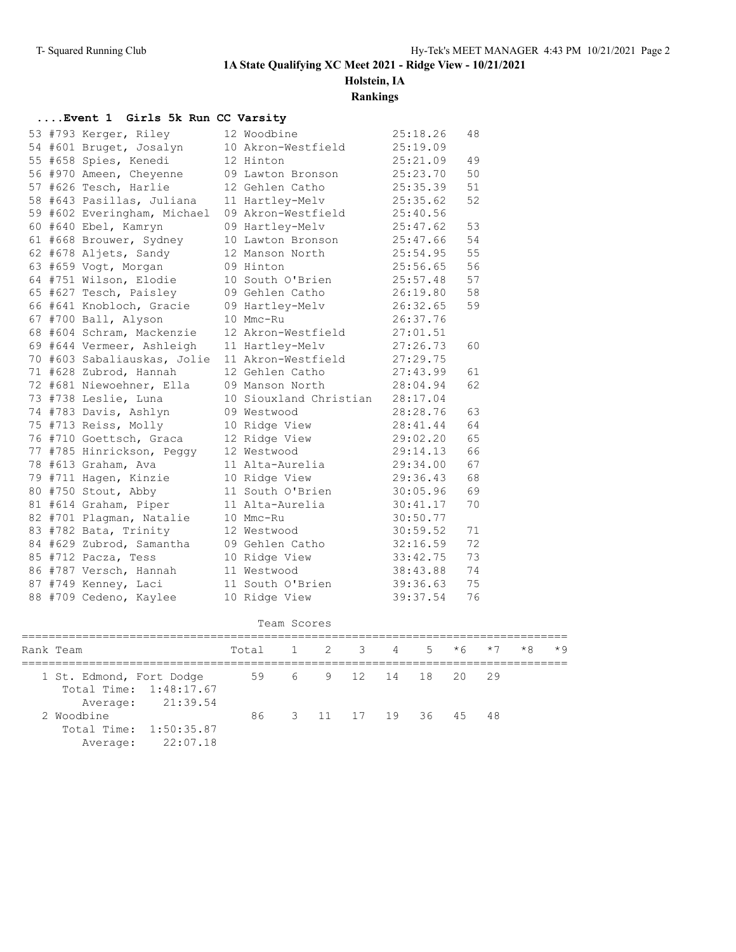**1A State Qualifying XC Meet 2021 - Ridge View - 10/21/2021**

# **Holstein, IA**

**Rankings**

### **....Event 1 Girls 5k Run CC Varsity**

|  | 53 #793 Kerger, Riley       | 12 Woodbine            | 25:18.26 | 48 |
|--|-----------------------------|------------------------|----------|----|
|  | 54 #601 Bruget, Josalyn     | 10 Akron-Westfield     | 25:19.09 |    |
|  | 55 #658 Spies, Kenedi       | 12 Hinton              | 25:21.09 | 49 |
|  | 56 #970 Ameen, Cheyenne     | 09 Lawton Bronson      | 25:23.70 | 50 |
|  | 57 #626 Tesch, Harlie       | 12 Gehlen Catho        | 25:35.39 | 51 |
|  | 58 #643 Pasillas, Juliana   | 11 Hartley-Melv        | 25:35.62 | 52 |
|  | 59 #602 Everingham, Michael | 09 Akron-Westfield     | 25:40.56 |    |
|  | 60 #640 Ebel, Kamryn        | 09 Hartley-Melv        | 25:47.62 | 53 |
|  | 61 #668 Brouwer, Sydney     | 10 Lawton Bronson      | 25:47.66 | 54 |
|  | 62 #678 Aljets, Sandy       | 12 Manson North        | 25:54.95 | 55 |
|  | 63 #659 Voqt, Morqan        | 09 Hinton              | 25:56.65 | 56 |
|  | 64 #751 Wilson, Elodie      | 10 South O'Brien       | 25:57.48 | 57 |
|  | 65 #627 Tesch, Paisley      | 09 Gehlen Catho        | 26:19.80 | 58 |
|  | 66 #641 Knobloch, Gracie    | 09 Hartley-Melv        | 26:32.65 | 59 |
|  | 67 #700 Ball, Alyson        | 10 Mmc-Ru              | 26:37.76 |    |
|  | 68 #604 Schram, Mackenzie   | 12 Akron-Westfield     | 27:01.51 |    |
|  | 69 #644 Vermeer, Ashleigh   | 11 Hartley-Melv        | 27:26.73 | 60 |
|  | 70 #603 Sabaliauskas, Jolie | 11 Akron-Westfield     | 27:29.75 |    |
|  | 71 #628 Zubrod, Hannah      | 12 Gehlen Catho        | 27:43.99 | 61 |
|  | 72 #681 Niewoehner, Ella    | 09 Manson North        | 28:04.94 | 62 |
|  | 73 #738 Leslie, Luna        | 10 Siouxland Christian | 28:17.04 |    |
|  | 74 #783 Davis, Ashlyn       | 09 Westwood            | 28:28.76 | 63 |
|  | 75 #713 Reiss, Molly        | 10 Ridge View          | 28:41.44 | 64 |
|  | 76 #710 Goettsch, Graca     | 12 Ridge View          | 29:02.20 | 65 |
|  | 77 #785 Hinrickson, Peggy   | 12 Westwood            | 29:14.13 | 66 |
|  | 78 #613 Graham, Ava         | 11 Alta-Aurelia        | 29:34.00 | 67 |
|  | 79 #711 Hagen, Kinzie       | 10 Ridge View          | 29:36.43 | 68 |
|  | 80 #750 Stout, Abby         | 11 South O'Brien       | 30:05.96 | 69 |
|  | 81 #614 Graham, Piper       | 11 Alta-Aurelia        | 30:41.17 | 70 |
|  | 82 #701 Plagman, Natalie    | 10 Mmc-Ru              | 30:50.77 |    |
|  | 83 #782 Bata, Trinity       | 12 Westwood            | 30:59.52 | 71 |
|  | 84 #629 Zubrod, Samantha    | 09 Gehlen Catho        | 32:16.59 | 72 |
|  | 85 #712 Pacza, Tess         | 10 Ridge View          | 33:42.75 | 73 |
|  | 86 #787 Versch, Hannah      | 11 Westwood            | 38:43.88 | 74 |
|  | 87 #749 Kenney, Laci        | 11 South O'Brien       | 39:36.63 | 75 |
|  | 88 #709 Cedeno, Kaylee      | 10 Ridge View          | 39:37.54 | 76 |

#### Team Scores

| Rank Team |                                                                         |          | Total 1 2 3 4 5 $*6$ $*7$ |               |                   |  |  |  |  |  | $*8$ | $*9$ |
|-----------|-------------------------------------------------------------------------|----------|---------------------------|---------------|-------------------|--|--|--|--|--|------|------|
|           | 1 St. Edmond, Fort Dodge<br>Total Time: 1:48:17.67<br>Average: 21:39.54 |          | 59 6 9 12 14 18 20 29     |               |                   |  |  |  |  |  |      |      |
|           | 2 Woodbine<br>Total Time: 1:50:35.87<br>Average:                        | 22:07.18 | 86                        | $\mathcal{B}$ | 11 17 19 36 45 48 |  |  |  |  |  |      |      |